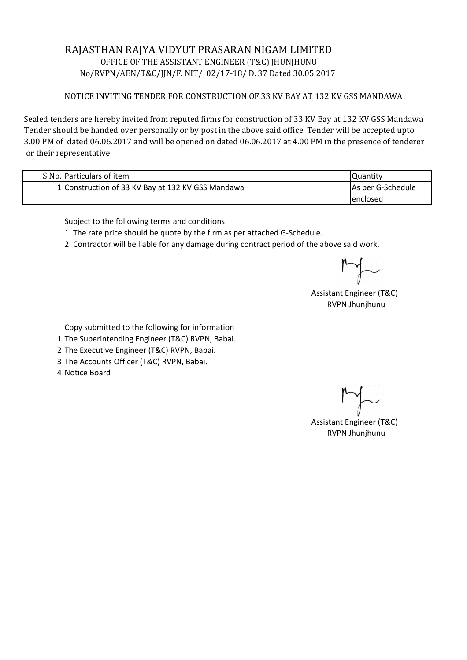## RAJASTHAN RAJYA VIDYUT PRASARAN NIGAM LIMITED OFFICE OF THE ASSISTANT ENGINEER (T&C) JHUNJHUNU No/RVPN/AEN/T&C/JJN/F. NIT/ 02/17-18/ D. 37 Dated 30.05.2017

## NOTICE INVITING TENDER FOR CONSTRUCTION OF 33 KV BAY AT 132 KV GSS MANDAWA

Sealed tenders are hereby invited from reputed firms for construction of 33 KV Bay at 132 KV GSS Mandawa Tender should be handed over personally or by post in the above said office. Tender will be accepted upto 3.00 PM of dated 06.06.2017 and will be opened on dated 06.06.2017 at 4.00 PM in the presence of tenderer or their representative.

| S.No. Particulars of item                         | Quantity                 |
|---------------------------------------------------|--------------------------|
| 1 Construction of 33 KV Bay at 132 KV GSS Mandawa | <b>As per G-Schedule</b> |
|                                                   | lenclosed                |

Subject to the following terms and conditions

1. The rate price should be quote by the firm as per attached G-Schedule.

2. Contractor will be liable for any damage during contract period of the above said work.

Assistant Engineer (T&C) RVPN Jhunjhunu

Copy submitted to the following for information

- 1 The Superintending Engineer (T&C) RVPN, Babai.
- 2 The Executive Engineer (T&C) RVPN, Babai.
- 3 The Accounts Officer (T&C) RVPN, Babai.
- 4 Notice Board

Assistant Engineer (T&C) RVPN Jhunjhunu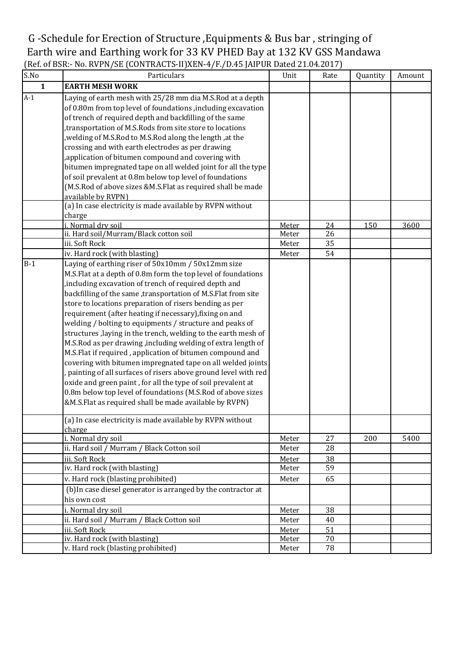## G -Schedule for Erection of Structure ,Equipments & Bus bar , stringing of Earth wire and Earthing work for 33 KV PHED Bay at 132 KV GSS Mandawa (Ref. of BSR:- No. RVPN/SE (CONTRACTS-II)XEN-4/F./D.45 JAIPUR Dated 21.04.2017)

| S.No         | Particulars                                                                                                                                                                                                                                                                                                                                                                                                                                                                                                                                                                                                                                                                                                                                                                                                                                                                                                                                                                                                              | Unit         | Rate | Quantity | Amount |
|--------------|--------------------------------------------------------------------------------------------------------------------------------------------------------------------------------------------------------------------------------------------------------------------------------------------------------------------------------------------------------------------------------------------------------------------------------------------------------------------------------------------------------------------------------------------------------------------------------------------------------------------------------------------------------------------------------------------------------------------------------------------------------------------------------------------------------------------------------------------------------------------------------------------------------------------------------------------------------------------------------------------------------------------------|--------------|------|----------|--------|
| $\mathbf{1}$ | <b>EARTH MESH WORK</b>                                                                                                                                                                                                                                                                                                                                                                                                                                                                                                                                                                                                                                                                                                                                                                                                                                                                                                                                                                                                   |              |      |          |        |
| $A-1$        | Laying of earth mesh with 25/28 mm dia M.S.Rod at a depth<br>of 0.80m from top level of foundations , including excavation<br>of trench of required depth and backfilling of the same<br>transportation of M.S.Rods from site store to locations<br>, welding of M.S.Rod to M.S.Rod along the length, at the<br>crossing and with earth electrodes as per drawing                                                                                                                                                                                                                                                                                                                                                                                                                                                                                                                                                                                                                                                        |              |      |          |        |
|              | , application of bitumen compound and covering with<br>bitumen impregnated tape on all welded joint for all the type<br>of soil prevalent at 0.8m below top level of foundations<br>(M.S.Rod of above sizes &M.S.Flat as required shall be made<br>available by RVPN)<br>(a) In case electricity is made available by RVPN without<br>charge                                                                                                                                                                                                                                                                                                                                                                                                                                                                                                                                                                                                                                                                             |              |      |          |        |
|              | i. Normal dry soil                                                                                                                                                                                                                                                                                                                                                                                                                                                                                                                                                                                                                                                                                                                                                                                                                                                                                                                                                                                                       | Meter        | 24   | 150      | 3600   |
|              | ii. Hard soil/Murram/Black cotton soil                                                                                                                                                                                                                                                                                                                                                                                                                                                                                                                                                                                                                                                                                                                                                                                                                                                                                                                                                                                   | Meter        | 26   |          |        |
|              | iii. Soft Rock                                                                                                                                                                                                                                                                                                                                                                                                                                                                                                                                                                                                                                                                                                                                                                                                                                                                                                                                                                                                           | Meter        | 35   |          |        |
|              | iv. Hard rock (with blasting)                                                                                                                                                                                                                                                                                                                                                                                                                                                                                                                                                                                                                                                                                                                                                                                                                                                                                                                                                                                            | Meter        | 54   |          |        |
| $B-1$        | Laying of earthing riser of 50x10mm / 50x12mm size<br>M.S.Flat at a depth of 0.8m form the top level of foundations<br>, including excavation of trench of required depth and<br>backfilling of the same ,transportation of M.S.Flat from site<br>store to locations preparation of risers bending as per<br>requirement (after heating if necessary), fixing on and<br>welding / bolting to equipments / structure and peaks of<br>structures, laying in the trench, welding to the earth mesh of<br>M.S.Rod as per drawing, including welding of extra length of<br>M.S.Flat if required, application of bitumen compound and<br>covering with bitumen impregnated tape on all welded joints<br>, painting of all surfaces of risers above ground level with red<br>oxide and green paint, for all the type of soil prevalent at<br>0.8m below top level of foundations (M.S.Rod of above sizes<br>&M.S.Flat as required shall be made available by RVPN)<br>(a) In case electricity is made available by RVPN without |              |      |          |        |
|              | charge                                                                                                                                                                                                                                                                                                                                                                                                                                                                                                                                                                                                                                                                                                                                                                                                                                                                                                                                                                                                                   |              |      |          |        |
|              | i. Normal dry soil                                                                                                                                                                                                                                                                                                                                                                                                                                                                                                                                                                                                                                                                                                                                                                                                                                                                                                                                                                                                       | Meter        | 27   | 200      | 5400   |
|              | ii. Hard soil / Murram / Black Cotton soil                                                                                                                                                                                                                                                                                                                                                                                                                                                                                                                                                                                                                                                                                                                                                                                                                                                                                                                                                                               | Meter        | 28   |          |        |
|              | iii. Soft Rock                                                                                                                                                                                                                                                                                                                                                                                                                                                                                                                                                                                                                                                                                                                                                                                                                                                                                                                                                                                                           | Meter        | 38   |          |        |
|              | iv. Hard rock (with blasting)                                                                                                                                                                                                                                                                                                                                                                                                                                                                                                                                                                                                                                                                                                                                                                                                                                                                                                                                                                                            | Meter        | 59   |          |        |
|              | v. Hard rock (blasting prohibited)<br>(b) In case diesel generator is arranged by the contractor at<br>his own cost                                                                                                                                                                                                                                                                                                                                                                                                                                                                                                                                                                                                                                                                                                                                                                                                                                                                                                      | Meter        | 65   |          |        |
|              | i. Normal dry soil                                                                                                                                                                                                                                                                                                                                                                                                                                                                                                                                                                                                                                                                                                                                                                                                                                                                                                                                                                                                       | Meter        | 38   |          |        |
|              | ii. Hard soil / Murram / Black Cotton soil                                                                                                                                                                                                                                                                                                                                                                                                                                                                                                                                                                                                                                                                                                                                                                                                                                                                                                                                                                               | Meter        | 40   |          |        |
|              | iii. Soft Rock                                                                                                                                                                                                                                                                                                                                                                                                                                                                                                                                                                                                                                                                                                                                                                                                                                                                                                                                                                                                           | Meter        | 51   |          |        |
|              | iv. Hard rock (with blasting)                                                                                                                                                                                                                                                                                                                                                                                                                                                                                                                                                                                                                                                                                                                                                                                                                                                                                                                                                                                            | <b>Meter</b> | 70   |          |        |
|              | v. Hard rock (blasting prohibited)                                                                                                                                                                                                                                                                                                                                                                                                                                                                                                                                                                                                                                                                                                                                                                                                                                                                                                                                                                                       | Meter        | 78   |          |        |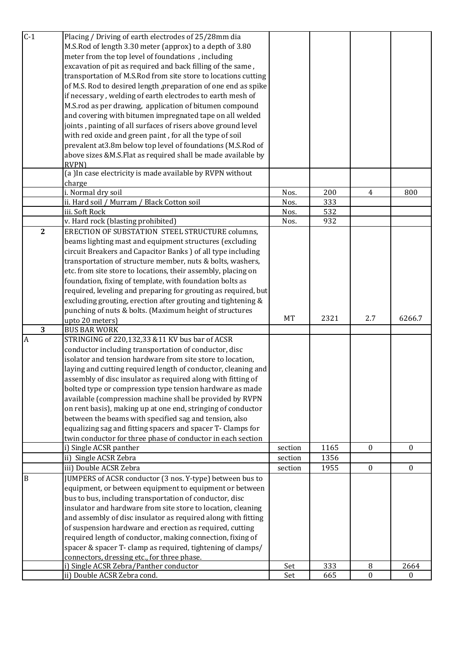| $C-1$          | Placing / Driving of earth electrodes of 25/28mm dia                                  |         |      |                |              |
|----------------|---------------------------------------------------------------------------------------|---------|------|----------------|--------------|
|                | M.S.Rod of length 3.30 meter (approx) to a depth of 3.80                              |         |      |                |              |
|                | meter from the top level of foundations, including                                    |         |      |                |              |
|                | excavation of pit as required and back filling of the same,                           |         |      |                |              |
|                | transportation of M.S.Rod from site store to locations cutting                        |         |      |                |              |
|                |                                                                                       |         |      |                |              |
|                | of M.S. Rod to desired length , preparation of one end as spike                       |         |      |                |              |
|                | if necessary, welding of earth electrodes to earth mesh of                            |         |      |                |              |
|                | M.S.rod as per drawing, application of bitumen compound                               |         |      |                |              |
|                | and covering with bitumen impregnated tape on all welded                              |         |      |                |              |
|                | joints, painting of all surfaces of risers above ground level                         |         |      |                |              |
|                | with red oxide and green paint, for all the type of soil                              |         |      |                |              |
|                | prevalent at 3.8m below top level of foundations (M.S.Rod of                          |         |      |                |              |
|                | above sizes &M.S.Flat as required shall be made available by                          |         |      |                |              |
|                | <b>RVPN)</b>                                                                          |         |      |                |              |
|                | (a) In case electricity is made available by RVPN without                             |         |      |                |              |
|                | charge                                                                                |         |      |                |              |
|                | i. Normal dry soil                                                                    | Nos.    | 200  | $\overline{4}$ | 800          |
|                | ii. Hard soil / Murram / Black Cotton soil                                            | Nos.    | 333  |                |              |
|                | iii. Soft Rock                                                                        | Nos.    | 532  |                |              |
|                | v. Hard rock (blasting prohibited)                                                    | Nos.    | 932  |                |              |
| $\overline{2}$ | ERECTION OF SUBSTATION STEEL STRUCTURE columns,                                       |         |      |                |              |
|                | beams lighting mast and equipment structures (excluding                               |         |      |                |              |
|                | circuit Breakers and Capacitor Banks ) of all type including                          |         |      |                |              |
|                | transportation of structure member, nuts & bolts, washers,                            |         |      |                |              |
|                | etc. from site store to locations, their assembly, placing on                         |         |      |                |              |
|                | foundation, fixing of template, with foundation bolts as                              |         |      |                |              |
|                | required, leveling and preparing for grouting as required, but                        |         |      |                |              |
|                | excluding grouting, erection after grouting and tightening &                          |         |      |                |              |
|                |                                                                                       |         |      |                |              |
|                | punching of nuts & bolts. (Maximum height of structures                               |         |      |                |              |
|                | upto 20 meters)                                                                       | MT      | 2321 | 2.7            | 6266.7       |
| 3              | <b>BUS BAR WORK</b>                                                                   |         |      |                |              |
| $\overline{A}$ | STRINGING of 220,132,33 &11 KV bus bar of ACSR                                        |         |      |                |              |
|                | conductor including transportation of conductor, disc                                 |         |      |                |              |
|                | isolator and tension hardware from site store to location,                            |         |      |                |              |
|                | laying and cutting required length of conductor, cleaning and                         |         |      |                |              |
|                | assembly of disc insulator as required along with fitting of                          |         |      |                |              |
|                | bolted type or compression type tension hardware as made                              |         |      |                |              |
|                | available (compression machine shall be provided by RVPN                              |         |      |                |              |
|                | on rent basis), making up at one end, stringing of conductor                          |         |      |                |              |
|                | between the beams with specified sag and tension, also                                |         |      |                |              |
|                | equalizing sag and fitting spacers and spacer T- Clamps for                           |         |      |                |              |
|                | twin conductor for three phase of conductor in each section                           |         |      |                |              |
|                |                                                                                       | section | 1165 | $\mathbf{0}$   | $\mathbf{0}$ |
|                | i) Single ACSR panther<br>ii) Single ACSR Zebra                                       | section | 1356 |                |              |
|                | iii) Double ACSR Zebra                                                                | section | 1955 | $\bf{0}$       | $\bf{0}$     |
| B              | JUMPERS of ACSR conductor (3 nos. Y-type) between bus to                              |         |      |                |              |
|                |                                                                                       |         |      |                |              |
|                | equipment, or between equipment to equipment or between                               |         |      |                |              |
|                | bus to bus, including transportation of conductor, disc                               |         |      |                |              |
|                | insulator and hardware from site store to location, cleaning                          |         |      |                |              |
|                | and assembly of disc insulator as required along with fitting                         |         |      |                |              |
|                | of suspension hardware and erection as required, cutting                              |         |      |                |              |
|                | required length of conductor, making connection, fixing of                            |         |      |                |              |
|                | spacer & spacer T- clamp as required, tightening of clamps/                           |         |      |                |              |
|                | connectors, dressing etc., for three phase.<br>i) Single ACSR Zebra/Panther conductor | Set     | 333  | $\, 8$         | 2664         |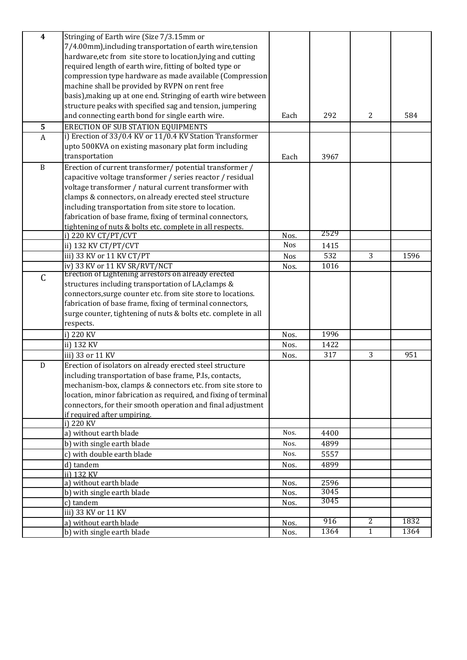| $\overline{\mathbf{4}}$ | Stringing of Earth wire (Size 7/3.15mm or                       |            |              |              |      |
|-------------------------|-----------------------------------------------------------------|------------|--------------|--------------|------|
|                         | 7/4.00mm), including transportation of earth wire, tension      |            |              |              |      |
|                         | hardware, etc from site store to location, lying and cutting    |            |              |              |      |
|                         | required length of earth wire, fitting of bolted type or        |            |              |              |      |
|                         | compression type hardware as made available (Compression        |            |              |              |      |
|                         | machine shall be provided by RVPN on rent free                  |            |              |              |      |
|                         | basis), making up at one end. Stringing of earth wire between   |            |              |              |      |
|                         | structure peaks with specified sag and tension, jumpering       |            |              |              |      |
|                         | and connecting earth bond for single earth wire.                | Each       | 292          | 2            | 584  |
| 5                       | <b>ERECTION OF SUB STATION EQUIPMENTS</b>                       |            |              |              |      |
| $\overline{A}$          | i) Erection of 33/0.4 KV or 11/0.4 KV Station Transformer       |            |              |              |      |
|                         | upto 500KVA on existing masonary plat form including            |            |              |              |      |
|                         | transportation                                                  | Each       | 3967         |              |      |
| $\, {\bf B}$            | Erection of current transformer/ potential transformer /        |            |              |              |      |
|                         | capacitive voltage transformer / series reactor / residual      |            |              |              |      |
|                         | voltage transformer / natural current transformer with          |            |              |              |      |
|                         | clamps & connectors, on already erected steel structure         |            |              |              |      |
|                         | including transportation from site store to location.           |            |              |              |      |
|                         | fabrication of base frame, fixing of terminal connectors,       |            |              |              |      |
|                         | tightening of nuts & bolts etc. complete in all respects.       |            |              |              |      |
|                         | i) 220 KV CT/PT/CVT                                             | Nos.       | 2529         |              |      |
|                         | ii) 132 KV CT/PT/CVT                                            | <b>Nos</b> | 1415         |              |      |
|                         | iii) 33 KV or 11 KV CT/PT                                       | Nos        | 532          | 3            | 1596 |
|                         | iv) 33 KV or 11 KV SR/RVT/NCT                                   | Nos.       | 1016         |              |      |
| $\mathsf C$             | Erection of Lightening arrestors on already erected             |            |              |              |      |
|                         | structures including transportation of LA, clamps &             |            |              |              |      |
|                         | connectors, surge counter etc. from site store to locations.    |            |              |              |      |
|                         | fabrication of base frame, fixing of terminal connectors,       |            |              |              |      |
|                         | surge counter, tightening of nuts & bolts etc. complete in all  |            |              |              |      |
|                         | respects.                                                       |            |              |              |      |
|                         | i) 220 KV                                                       | Nos.       | 1996         |              |      |
|                         | ii) 132 KV                                                      | Nos.       | 1422         |              |      |
|                         | iii) 33 or 11 KV                                                | Nos.       | 317          | 3            | 951  |
| ${\bf D}$               | Erection of isolators on already erected steel structure        |            |              |              |      |
|                         | including transportation of base frame, P.Is, contacts,         |            |              |              |      |
|                         | mechanism-box, clamps & connectors etc. from site store to      |            |              |              |      |
|                         | location, minor fabrication as required, and fixing of terminal |            |              |              |      |
|                         | connectors, for their smooth operation and final adjustment     |            |              |              |      |
|                         | if required after umpiring.                                     |            |              |              |      |
|                         | i) 220 KV                                                       |            |              |              |      |
|                         | a) without earth blade                                          | Nos.       | 4400         |              |      |
|                         | b) with single earth blade                                      | Nos.       | 4899         |              |      |
|                         | c) with double earth blade                                      | Nos.       | 5557         |              |      |
|                         | d) tandem                                                       | Nos.       | 4899         |              |      |
|                         | ii) 132 KV                                                      |            |              |              |      |
|                         | a) without earth blade                                          | Nos.       | 2596<br>3045 |              |      |
|                         | b) with single earth blade                                      | Nos.       | 3045         |              |      |
|                         | c) tandem                                                       | Nos.       |              |              |      |
|                         | iii) 33 KV or 11 KV                                             |            | 916          | 2            | 1832 |
|                         | a) without earth blade                                          | Nos.       |              |              |      |
|                         | b) with single earth blade                                      | Nos.       | 1364         | $\mathbf{1}$ | 1364 |